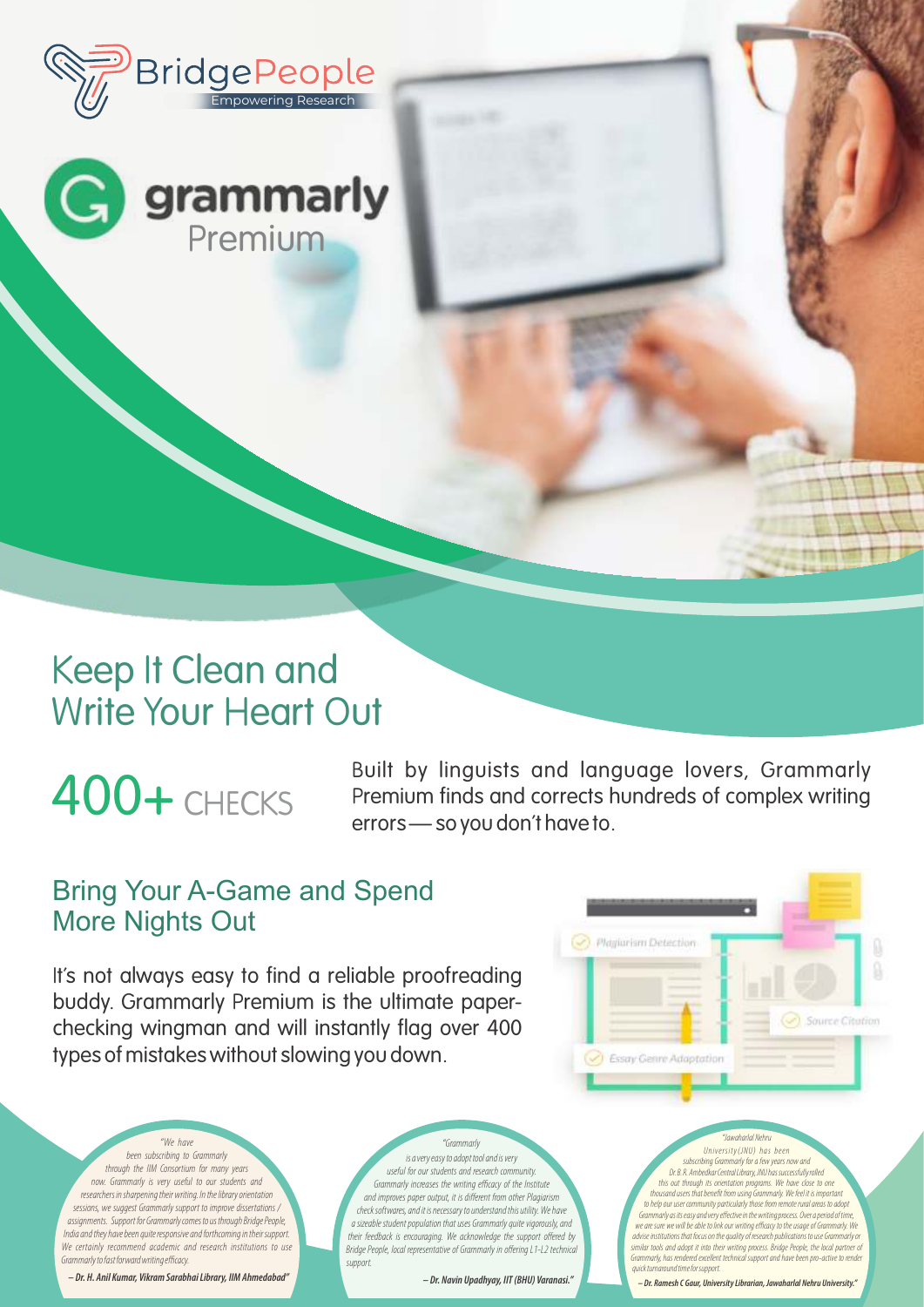

# Keep It Clean and Write Your Heart Out

# 400+ CHECKS

Built by linguists and language lovers, Grammarly Premium finds and corrects hundreds of complex writing errors — so you don't have to.

### Bring Your A-Game and Spend More Nights Out

It's not always easy to find a reliable proofreading buddy. Grammarly Premium is the ultimate paperchecking wingman and will instantly flag over 400 types of mistakes without slowing you down.

Plagiarism Detection Source Citation

been subscribing to Grammarly through the IIM Consortium for many years now. Grammarly is very useful to our students and researchers in sharpening their writing. In the library orientation sessions, we suggest Grammarly support to improve dissertations / assignments. Support for Grammarly comes to us through Bridge People, India and they have been quite responsive and forthcoming in their support. We certainly recommend academic and research institutions to use Grammarly to fast forward writing efficacy.

"We have

**– Dr. H. Anil Kumar, Vikram Sarabhai Library, IIM Ahmedabad"**

is a very easy to adopt tool and is very useful for our students and research community. Grammarly increases the writing efficacy of the Institute and improves paper output, it is different from other Plagiarism check softwares, and it is necessary to understand this utility. We have a sizeable student population that uses Grammarly quite vigorously, and their feedback is encouraging. We acknowledge the support offered by Bridge People, local representative of Grammarly in offering L1-L2 technical support. "Grammarly "Jawaharlal Nehru

**– Dr. Navin Upadhyay, IIT (BHU) Varanasi."**

Grammarly, has rendered excellent technical support and have been pro-active to render **– Dr. Ramesh C Gaur, University Librarian, Jawaharlal Nehru University."**

quick turnaround time for support.

University(JNU) has been subscribing Grammarly for a few years now and Dr. B. R. Ambedkar Central Library, JNU has successfully rolled this out through its orientation programs. We have close to one thousand users that benefit from using Grammarly. We feel it is important the help our user community particularly those from remote rural areas to adopt<br>Grammarly as its easy and very effective in the writing process. Over a period of time,<br>we are sure we will be able to link our writing effica advise institutions that focus on the quality of research publications to use Grammarly or similar tools and adopt it into their writing process. Bridge People, the local partner of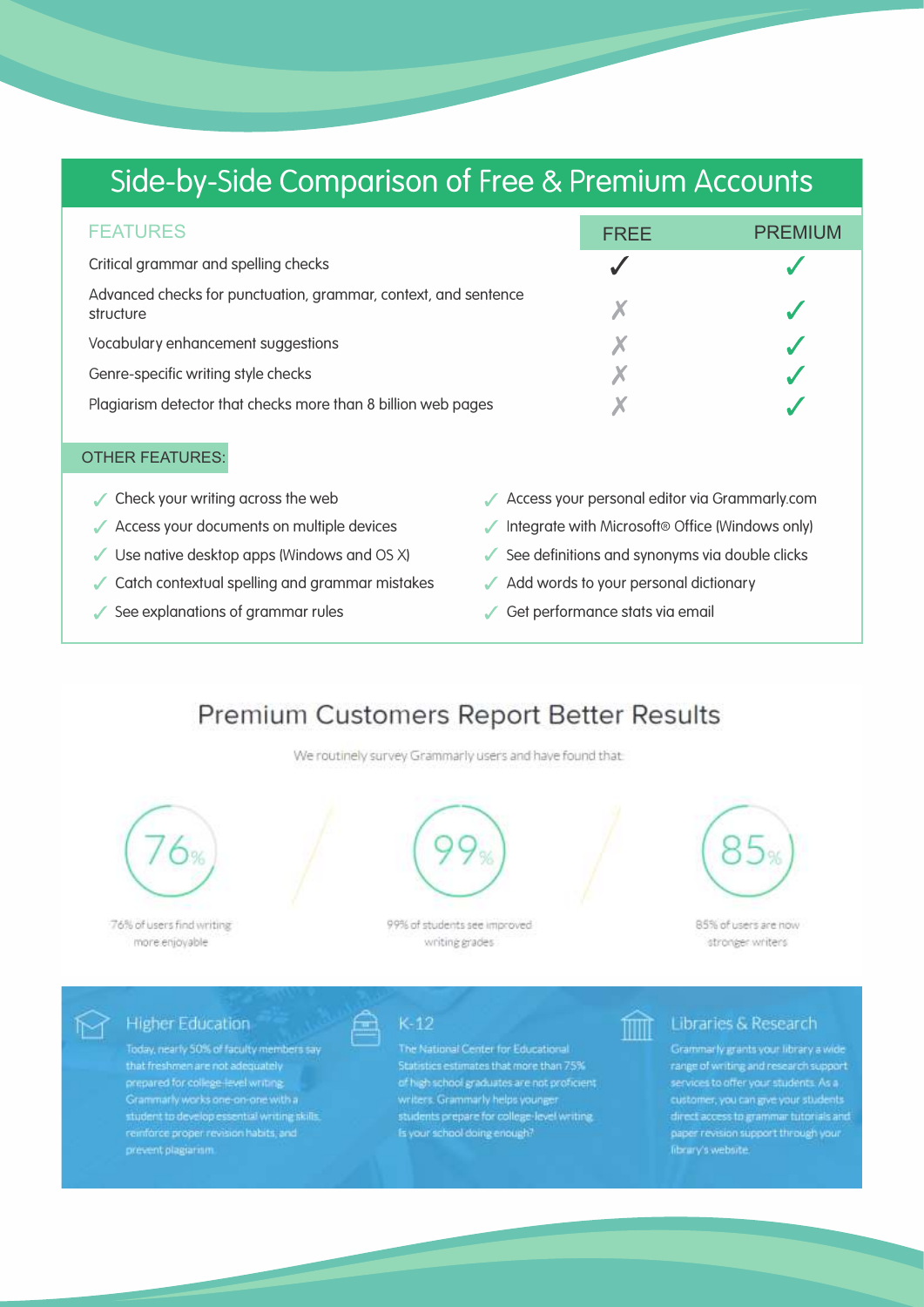# Side-by-Side Comparison of Free & Premium Accounts

| <b>FEATURES</b>                                                              | <b>FRFF</b> | <b>PREMIUM</b> |
|------------------------------------------------------------------------------|-------------|----------------|
| Critical grammar and spelling checks                                         |             |                |
| Advanced checks for punctuation, grammar, context, and sentence<br>structure |             |                |
| Vocabulary enhancement suggestions                                           |             |                |
| Genre-specific writing style checks                                          |             |                |
| Plagiarism detector that checks more than 8 billion web pages                |             |                |

#### OTHER FEATURES:

- 
- 
- 
- $\checkmark$  Catch contextual spelling and grammar mistakes  $\checkmark$  Add words to your personal dictionary
- ✓ See explanations of grammar rules Get performance stats via email
- $\swarrow$  Check your writing across the web  $\swarrow$  Access your personal editor via Grammarly.com
- $\checkmark$  Access your documents on multiple devices  $\checkmark$  Integrate with Microsoft® Office (Windows only)
- Use native desktop apps (Windows and OS X) See definitions and synonyms via double clicks

fillit

- 
- 

### Premium Customers Report Better Results

We routinely survey Grammarly users and have found that



76% of users find writing more enjoyable

⊮

99% of students see improved writing grades



85% of users are now stronger writers

**Higher Education** 

Today, nearly 50% of faculty members say that freshmen are not adequately student to develop essential writing skills.<br>reinforce proper revision habits, and prevent plagiarism

 $K-12$ 

The National Center for Educational Statistics estimates that more than 75% of high school graduates are not proficient. writers. Grammarly helps younger<br>students prepare for college-level writing.<br>Is your school doing enough?

#### Libraries & Research

Grammarly grants your library a wide direct access to grammar tutorials and<br>paper revision support through your<br>fibrary's website.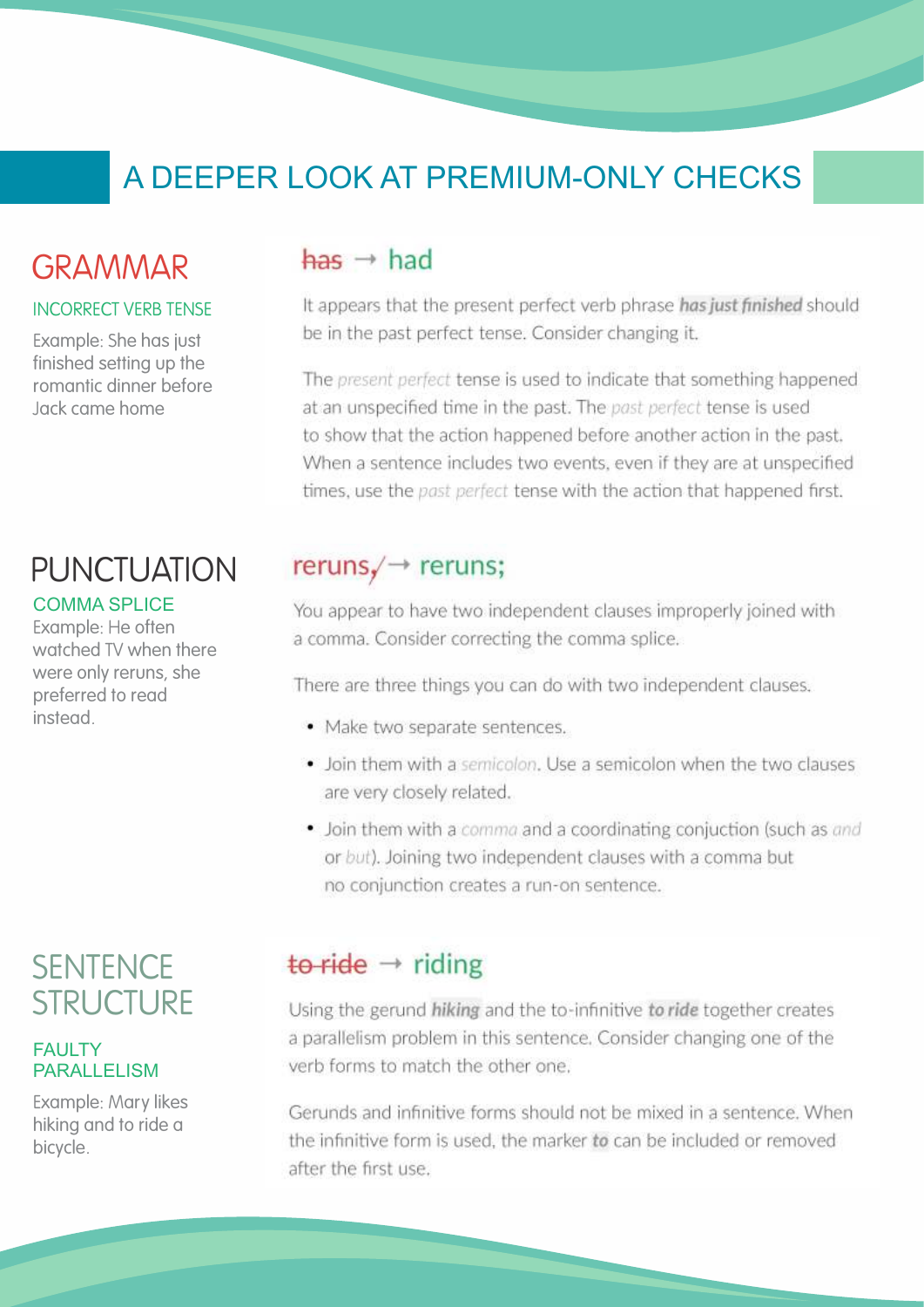# A DEEPER LOOK AT PREMIUM-ONLY CHECKS

## GRAMMAR

#### INCORRECT VERB TENSE

Example: She has just finished setting up the romantic dinner before Jack came home

# PUNCTUATION

#### COMMA SPLICE

Example: He often watched TV when there were only reruns, she preferred to read instead.

# **SENTENCE STRUCTURE**

#### **FAULTY** PARALLELISM

Example: Mary likes hiking and to ride a bicycle.

### $has \rightarrow had$

It appears that the present perfect verb phrase has just finished should be in the past perfect tense. Consider changing it.

The present perfect tense is used to indicate that something happened at an unspecified time in the past. The past perfect tense is used to show that the action happened before another action in the past. When a sentence includes two events, even if they are at unspecified times, use the past perfect tense with the action that happened first.

### $reruns / \rightarrow reruns;$

You appear to have two independent clauses improperly joined with a comma. Consider correcting the comma splice.

There are three things you can do with two independent clauses.

- · Make two separate sentences.
- Join them with a semicolon. Use a semicolon when the two clauses are very closely related.
- Join them with a comma and a coordinating conjuction (such as and or but). Joining two independent clauses with a comma but no conjunction creates a run-on sentence.

### to ride  $\rightarrow$  riding

Using the gerund hiking and the to-infinitive to ride together creates a parallelism problem in this sentence. Consider changing one of the verb forms to match the other one.

Gerunds and infinitive forms should not be mixed in a sentence. When the infinitive form is used, the marker to can be included or removed after the first use.